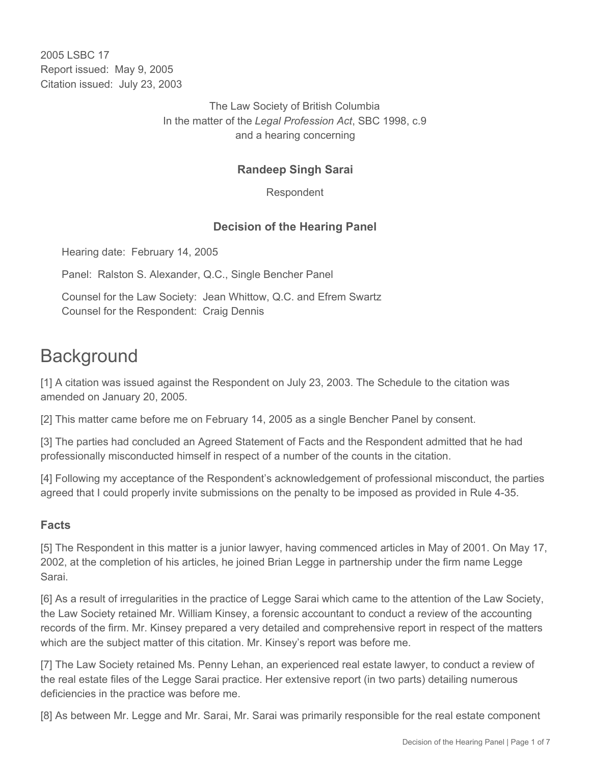2005 LSBC 17 Report issued: May 9, 2005 Citation issued: July 23, 2003

> The Law Society of British Columbia In the matter of the *Legal Profession Act*, SBC 1998, c.9 and a hearing concerning

# **Randeep Singh Sarai**

Respondent

## **Decision of the Hearing Panel**

Hearing date: February 14, 2005

Panel: Ralston S. Alexander, Q.C., Single Bencher Panel

Counsel for the Law Society: Jean Whittow, Q.C. and Efrem Swartz Counsel for the Respondent: Craig Dennis

# **Background**

[1] A citation was issued against the Respondent on July 23, 2003. The Schedule to the citation was amended on January 20, 2005.

[2] This matter came before me on February 14, 2005 as a single Bencher Panel by consent.

[3] The parties had concluded an Agreed Statement of Facts and the Respondent admitted that he had professionally misconducted himself in respect of a number of the counts in the citation.

[4] Following my acceptance of the Respondent's acknowledgement of professional misconduct, the parties agreed that I could properly invite submissions on the penalty to be imposed as provided in Rule 4-35.

#### **Facts**

[5] The Respondent in this matter is a junior lawyer, having commenced articles in May of 2001. On May 17, 2002, at the completion of his articles, he joined Brian Legge in partnership under the firm name Legge Sarai.

[6] As a result of irregularities in the practice of Legge Sarai which came to the attention of the Law Society, the Law Society retained Mr. William Kinsey, a forensic accountant to conduct a review of the accounting records of the firm. Mr. Kinsey prepared a very detailed and comprehensive report in respect of the matters which are the subject matter of this citation. Mr. Kinsey's report was before me.

[7] The Law Society retained Ms. Penny Lehan, an experienced real estate lawyer, to conduct a review of the real estate files of the Legge Sarai practice. Her extensive report (in two parts) detailing numerous deficiencies in the practice was before me.

[8] As between Mr. Legge and Mr. Sarai, Mr. Sarai was primarily responsible for the real estate component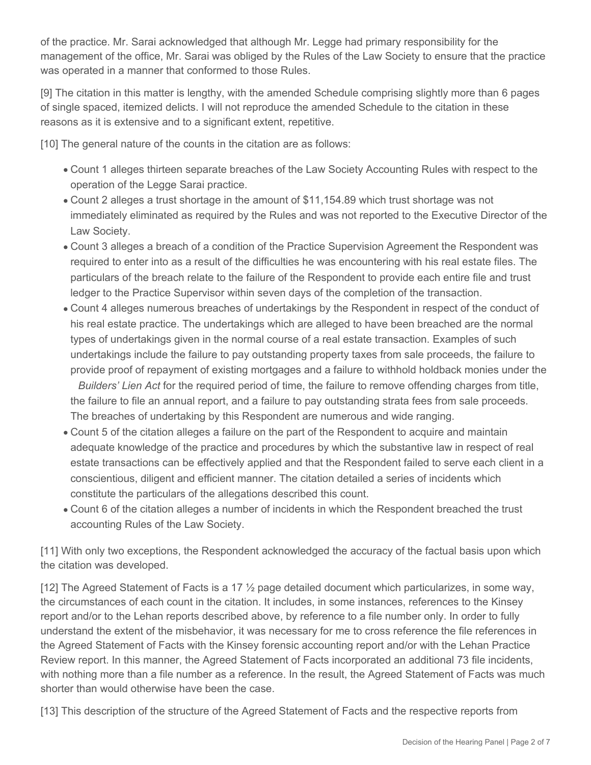of the practice. Mr. Sarai acknowledged that although Mr. Legge had primary responsibility for the management of the office, Mr. Sarai was obliged by the Rules of the Law Society to ensure that the practice was operated in a manner that conformed to those Rules.

[9] The citation in this matter is lengthy, with the amended Schedule comprising slightly more than 6 pages of single spaced, itemized delicts. I will not reproduce the amended Schedule to the citation in these reasons as it is extensive and to a significant extent, repetitive.

[10] The general nature of the counts in the citation are as follows:

- Count 1 alleges thirteen separate breaches of the Law Society Accounting Rules with respect to the operation of the Legge Sarai practice.
- Count 2 alleges a trust shortage in the amount of \$11,154.89 which trust shortage was not immediately eliminated as required by the Rules and was not reported to the Executive Director of the Law Society.
- Count 3 alleges a breach of a condition of the Practice Supervision Agreement the Respondent was required to enter into as a result of the difficulties he was encountering with his real estate files. The particulars of the breach relate to the failure of the Respondent to provide each entire file and trust ledger to the Practice Supervisor within seven days of the completion of the transaction.
- Count 4 alleges numerous breaches of undertakings by the Respondent in respect of the conduct of his real estate practice. The undertakings which are alleged to have been breached are the normal types of undertakings given in the normal course of a real estate transaction. Examples of such undertakings include the failure to pay outstanding property taxes from sale proceeds, the failure to provide proof of repayment of existing mortgages and a failure to withhold holdback monies under the *Builders' Lien Act* for the required period of time, the failure to remove offending charges from title, the failure to file an annual report, and a failure to pay outstanding strata fees from sale proceeds.

The breaches of undertaking by this Respondent are numerous and wide ranging.

- Count 5 of the citation alleges a failure on the part of the Respondent to acquire and maintain adequate knowledge of the practice and procedures by which the substantive law in respect of real estate transactions can be effectively applied and that the Respondent failed to serve each client in a conscientious, diligent and efficient manner. The citation detailed a series of incidents which constitute the particulars of the allegations described this count.
- Count 6 of the citation alleges a number of incidents in which the Respondent breached the trust accounting Rules of the Law Society.

[11] With only two exceptions, the Respondent acknowledged the accuracy of the factual basis upon which the citation was developed.

[12] The Agreed Statement of Facts is a 17 ½ page detailed document which particularizes, in some way, the circumstances of each count in the citation. It includes, in some instances, references to the Kinsey report and/or to the Lehan reports described above, by reference to a file number only. In order to fully understand the extent of the misbehavior, it was necessary for me to cross reference the file references in the Agreed Statement of Facts with the Kinsey forensic accounting report and/or with the Lehan Practice Review report. In this manner, the Agreed Statement of Facts incorporated an additional 73 file incidents, with nothing more than a file number as a reference. In the result, the Agreed Statement of Facts was much shorter than would otherwise have been the case.

[13] This description of the structure of the Agreed Statement of Facts and the respective reports from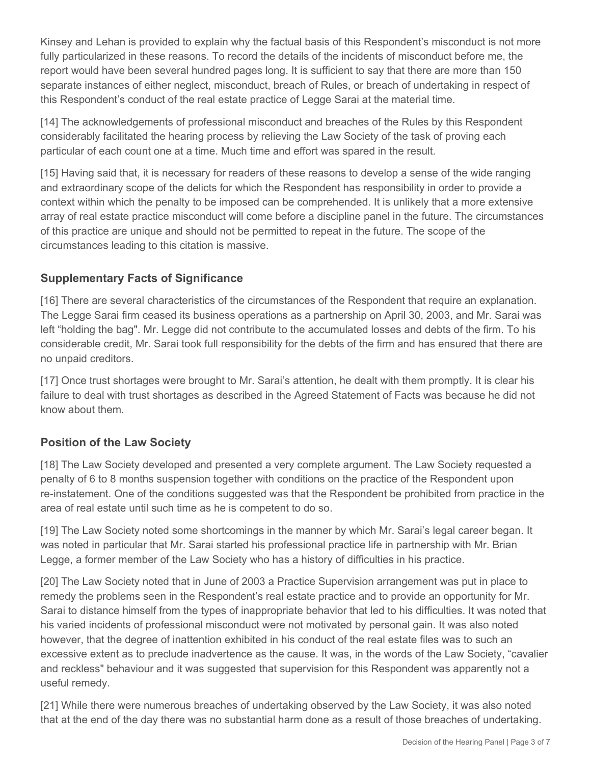Kinsey and Lehan is provided to explain why the factual basis of this Respondent's misconduct is not more fully particularized in these reasons. To record the details of the incidents of misconduct before me, the report would have been several hundred pages long. It is sufficient to say that there are more than 150 separate instances of either neglect, misconduct, breach of Rules, or breach of undertaking in respect of this Respondent's conduct of the real estate practice of Legge Sarai at the material time.

[14] The acknowledgements of professional misconduct and breaches of the Rules by this Respondent considerably facilitated the hearing process by relieving the Law Society of the task of proving each particular of each count one at a time. Much time and effort was spared in the result.

[15] Having said that, it is necessary for readers of these reasons to develop a sense of the wide ranging and extraordinary scope of the delicts for which the Respondent has responsibility in order to provide a context within which the penalty to be imposed can be comprehended. It is unlikely that a more extensive array of real estate practice misconduct will come before a discipline panel in the future. The circumstances of this practice are unique and should not be permitted to repeat in the future. The scope of the circumstances leading to this citation is massive.

# **Supplementary Facts of Significance**

[16] There are several characteristics of the circumstances of the Respondent that require an explanation. The Legge Sarai firm ceased its business operations as a partnership on April 30, 2003, and Mr. Sarai was left "holding the bag". Mr. Legge did not contribute to the accumulated losses and debts of the firm. To his considerable credit, Mr. Sarai took full responsibility for the debts of the firm and has ensured that there are no unpaid creditors.

[17] Once trust shortages were brought to Mr. Sarai's attention, he dealt with them promptly. It is clear his failure to deal with trust shortages as described in the Agreed Statement of Facts was because he did not know about them.

## **Position of the Law Society**

[18] The Law Society developed and presented a very complete argument. The Law Society requested a penalty of 6 to 8 months suspension together with conditions on the practice of the Respondent upon re-instatement. One of the conditions suggested was that the Respondent be prohibited from practice in the area of real estate until such time as he is competent to do so.

[19] The Law Society noted some shortcomings in the manner by which Mr. Sarai's legal career began. It was noted in particular that Mr. Sarai started his professional practice life in partnership with Mr. Brian Legge, a former member of the Law Society who has a history of difficulties in his practice.

[20] The Law Society noted that in June of 2003 a Practice Supervision arrangement was put in place to remedy the problems seen in the Respondent's real estate practice and to provide an opportunity for Mr. Sarai to distance himself from the types of inappropriate behavior that led to his difficulties. It was noted that his varied incidents of professional misconduct were not motivated by personal gain. It was also noted however, that the degree of inattention exhibited in his conduct of the real estate files was to such an excessive extent as to preclude inadvertence as the cause. It was, in the words of the Law Society, "cavalier and reckless" behaviour and it was suggested that supervision for this Respondent was apparently not a useful remedy.

[21] While there were numerous breaches of undertaking observed by the Law Society, it was also noted that at the end of the day there was no substantial harm done as a result of those breaches of undertaking.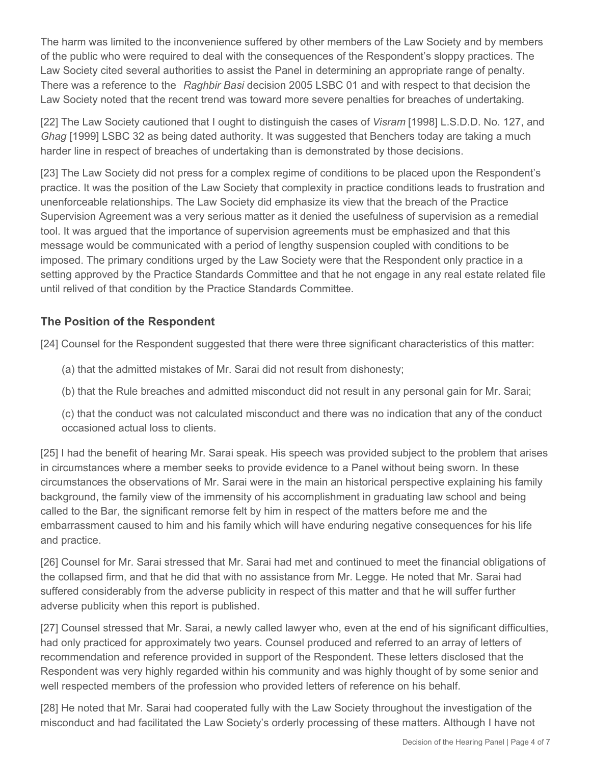The harm was limited to the inconvenience suffered by other members of the Law Society and by members of the public who were required to deal with the consequences of the Respondent's sloppy practices. The Law Society cited several authorities to assist the Panel in determining an appropriate range of penalty. There was a reference to the *Raghbir Basi* decision 2005 LSBC 01 and with respect to that decision the Law Society noted that the recent trend was toward more severe penalties for breaches of undertaking.

[22] The Law Society cautioned that I ought to distinguish the cases of *Visram* [1998] L.S.D.D. No. 127, and *Ghag* [1999] LSBC 32 as being dated authority. It was suggested that Benchers today are taking a much harder line in respect of breaches of undertaking than is demonstrated by those decisions.

[23] The Law Society did not press for a complex regime of conditions to be placed upon the Respondent's practice. It was the position of the Law Society that complexity in practice conditions leads to frustration and unenforceable relationships. The Law Society did emphasize its view that the breach of the Practice Supervision Agreement was a very serious matter as it denied the usefulness of supervision as a remedial tool. It was argued that the importance of supervision agreements must be emphasized and that this message would be communicated with a period of lengthy suspension coupled with conditions to be imposed. The primary conditions urged by the Law Society were that the Respondent only practice in a setting approved by the Practice Standards Committee and that he not engage in any real estate related file until relived of that condition by the Practice Standards Committee.

# **The Position of the Respondent**

[24] Counsel for the Respondent suggested that there were three significant characteristics of this matter:

- (a) that the admitted mistakes of Mr. Sarai did not result from dishonesty;
- (b) that the Rule breaches and admitted misconduct did not result in any personal gain for Mr. Sarai;

(c) that the conduct was not calculated misconduct and there was no indication that any of the conduct occasioned actual loss to clients.

[25] I had the benefit of hearing Mr. Sarai speak. His speech was provided subject to the problem that arises in circumstances where a member seeks to provide evidence to a Panel without being sworn. In these circumstances the observations of Mr. Sarai were in the main an historical perspective explaining his family background, the family view of the immensity of his accomplishment in graduating law school and being called to the Bar, the significant remorse felt by him in respect of the matters before me and the embarrassment caused to him and his family which will have enduring negative consequences for his life and practice.

[26] Counsel for Mr. Sarai stressed that Mr. Sarai had met and continued to meet the financial obligations of the collapsed firm, and that he did that with no assistance from Mr. Legge. He noted that Mr. Sarai had suffered considerably from the adverse publicity in respect of this matter and that he will suffer further adverse publicity when this report is published.

[27] Counsel stressed that Mr. Sarai, a newly called lawyer who, even at the end of his significant difficulties, had only practiced for approximately two years. Counsel produced and referred to an array of letters of recommendation and reference provided in support of the Respondent. These letters disclosed that the Respondent was very highly regarded within his community and was highly thought of by some senior and well respected members of the profession who provided letters of reference on his behalf.

[28] He noted that Mr. Sarai had cooperated fully with the Law Society throughout the investigation of the misconduct and had facilitated the Law Society's orderly processing of these matters. Although I have not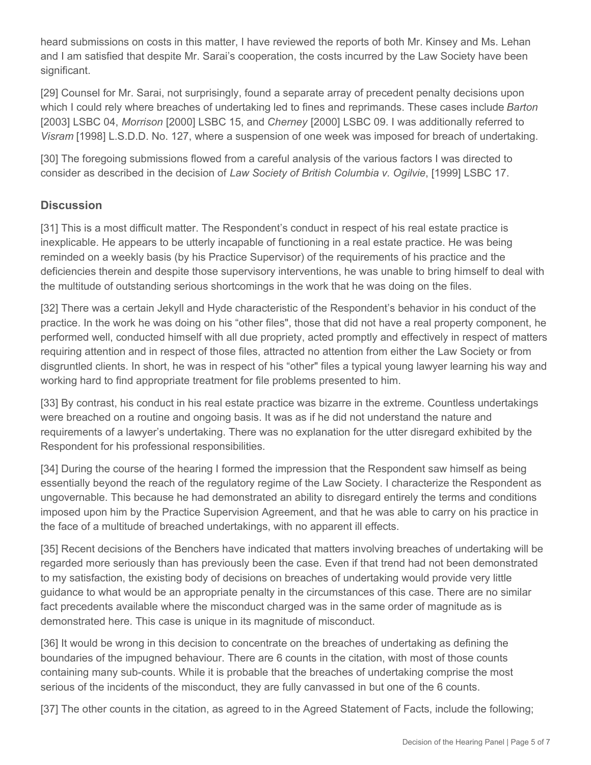heard submissions on costs in this matter, I have reviewed the reports of both Mr. Kinsey and Ms. Lehan and I am satisfied that despite Mr. Sarai's cooperation, the costs incurred by the Law Society have been significant.

[29] Counsel for Mr. Sarai, not surprisingly, found a separate array of precedent penalty decisions upon which I could rely where breaches of undertaking led to fines and reprimands. These cases include *Barton*  [2003] LSBC 04, *Morrison* [2000] LSBC 15, and *Cherney* [2000] LSBC 09. I was additionally referred to *Visram* [1998] L.S.D.D. No. 127, where a suspension of one week was imposed for breach of undertaking.

[30] The foregoing submissions flowed from a careful analysis of the various factors I was directed to consider as described in the decision of *Law Society of British Columbia v. Ogilvie*, [1999] LSBC 17.

## **Discussion**

[31] This is a most difficult matter. The Respondent's conduct in respect of his real estate practice is inexplicable. He appears to be utterly incapable of functioning in a real estate practice. He was being reminded on a weekly basis (by his Practice Supervisor) of the requirements of his practice and the deficiencies therein and despite those supervisory interventions, he was unable to bring himself to deal with the multitude of outstanding serious shortcomings in the work that he was doing on the files.

[32] There was a certain Jekyll and Hyde characteristic of the Respondent's behavior in his conduct of the practice. In the work he was doing on his "other files", those that did not have a real property component, he performed well, conducted himself with all due propriety, acted promptly and effectively in respect of matters requiring attention and in respect of those files, attracted no attention from either the Law Society or from disgruntled clients. In short, he was in respect of his "other" files a typical young lawyer learning his way and working hard to find appropriate treatment for file problems presented to him.

[33] By contrast, his conduct in his real estate practice was bizarre in the extreme. Countless undertakings were breached on a routine and ongoing basis. It was as if he did not understand the nature and requirements of a lawyer's undertaking. There was no explanation for the utter disregard exhibited by the Respondent for his professional responsibilities.

[34] During the course of the hearing I formed the impression that the Respondent saw himself as being essentially beyond the reach of the regulatory regime of the Law Society. I characterize the Respondent as ungovernable. This because he had demonstrated an ability to disregard entirely the terms and conditions imposed upon him by the Practice Supervision Agreement, and that he was able to carry on his practice in the face of a multitude of breached undertakings, with no apparent ill effects.

[35] Recent decisions of the Benchers have indicated that matters involving breaches of undertaking will be regarded more seriously than has previously been the case. Even if that trend had not been demonstrated to my satisfaction, the existing body of decisions on breaches of undertaking would provide very little guidance to what would be an appropriate penalty in the circumstances of this case. There are no similar fact precedents available where the misconduct charged was in the same order of magnitude as is demonstrated here. This case is unique in its magnitude of misconduct.

[36] It would be wrong in this decision to concentrate on the breaches of undertaking as defining the boundaries of the impugned behaviour. There are 6 counts in the citation, with most of those counts containing many sub-counts. While it is probable that the breaches of undertaking comprise the most serious of the incidents of the misconduct, they are fully canvassed in but one of the 6 counts.

[37] The other counts in the citation, as agreed to in the Agreed Statement of Facts, include the following;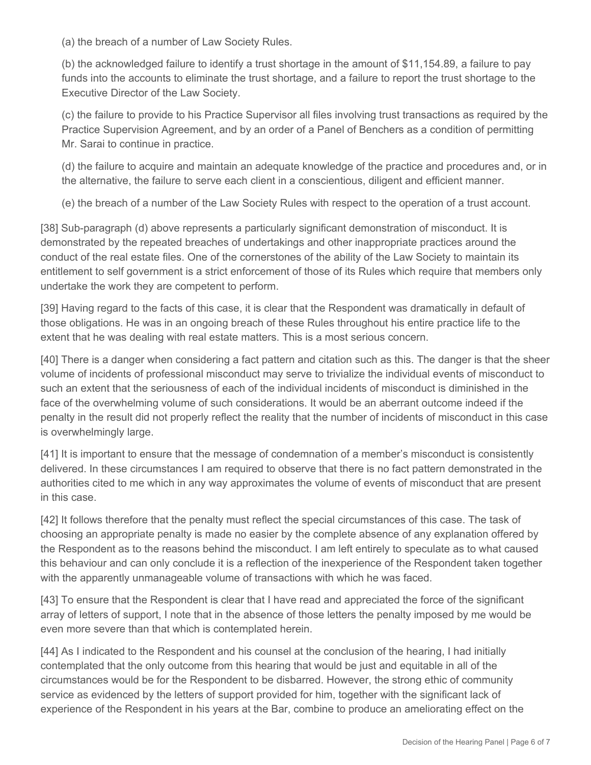(a) the breach of a number of Law Society Rules.

(b) the acknowledged failure to identify a trust shortage in the amount of \$11,154.89, a failure to pay funds into the accounts to eliminate the trust shortage, and a failure to report the trust shortage to the Executive Director of the Law Society.

(c) the failure to provide to his Practice Supervisor all files involving trust transactions as required by the Practice Supervision Agreement, and by an order of a Panel of Benchers as a condition of permitting Mr. Sarai to continue in practice.

(d) the failure to acquire and maintain an adequate knowledge of the practice and procedures and, or in the alternative, the failure to serve each client in a conscientious, diligent and efficient manner.

(e) the breach of a number of the Law Society Rules with respect to the operation of a trust account.

[38] Sub-paragraph (d) above represents a particularly significant demonstration of misconduct. It is demonstrated by the repeated breaches of undertakings and other inappropriate practices around the conduct of the real estate files. One of the cornerstones of the ability of the Law Society to maintain its entitlement to self government is a strict enforcement of those of its Rules which require that members only undertake the work they are competent to perform.

[39] Having regard to the facts of this case, it is clear that the Respondent was dramatically in default of those obligations. He was in an ongoing breach of these Rules throughout his entire practice life to the extent that he was dealing with real estate matters. This is a most serious concern.

[40] There is a danger when considering a fact pattern and citation such as this. The danger is that the sheer volume of incidents of professional misconduct may serve to trivialize the individual events of misconduct to such an extent that the seriousness of each of the individual incidents of misconduct is diminished in the face of the overwhelming volume of such considerations. It would be an aberrant outcome indeed if the penalty in the result did not properly reflect the reality that the number of incidents of misconduct in this case is overwhelmingly large.

[41] It is important to ensure that the message of condemnation of a member's misconduct is consistently delivered. In these circumstances I am required to observe that there is no fact pattern demonstrated in the authorities cited to me which in any way approximates the volume of events of misconduct that are present in this case.

[42] It follows therefore that the penalty must reflect the special circumstances of this case. The task of choosing an appropriate penalty is made no easier by the complete absence of any explanation offered by the Respondent as to the reasons behind the misconduct. I am left entirely to speculate as to what caused this behaviour and can only conclude it is a reflection of the inexperience of the Respondent taken together with the apparently unmanageable volume of transactions with which he was faced.

[43] To ensure that the Respondent is clear that I have read and appreciated the force of the significant array of letters of support, I note that in the absence of those letters the penalty imposed by me would be even more severe than that which is contemplated herein.

[44] As I indicated to the Respondent and his counsel at the conclusion of the hearing, I had initially contemplated that the only outcome from this hearing that would be just and equitable in all of the circumstances would be for the Respondent to be disbarred. However, the strong ethic of community service as evidenced by the letters of support provided for him, together with the significant lack of experience of the Respondent in his years at the Bar, combine to produce an ameliorating effect on the